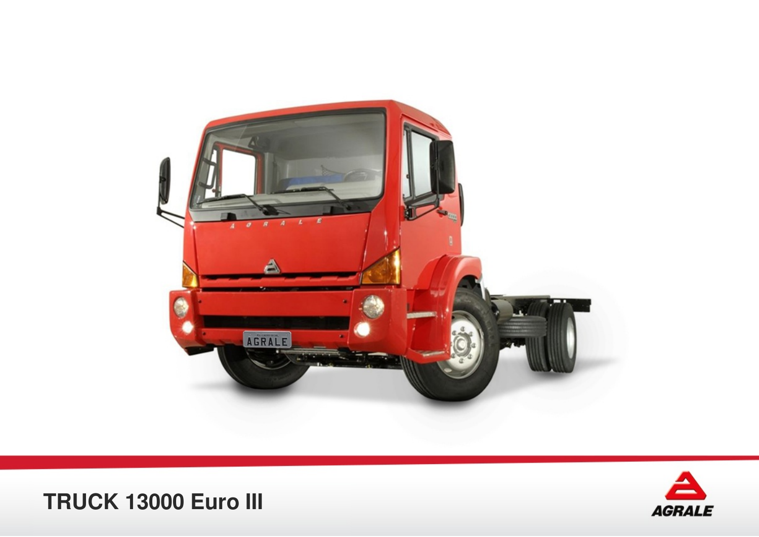



**TRUCK 13000 Euro III**